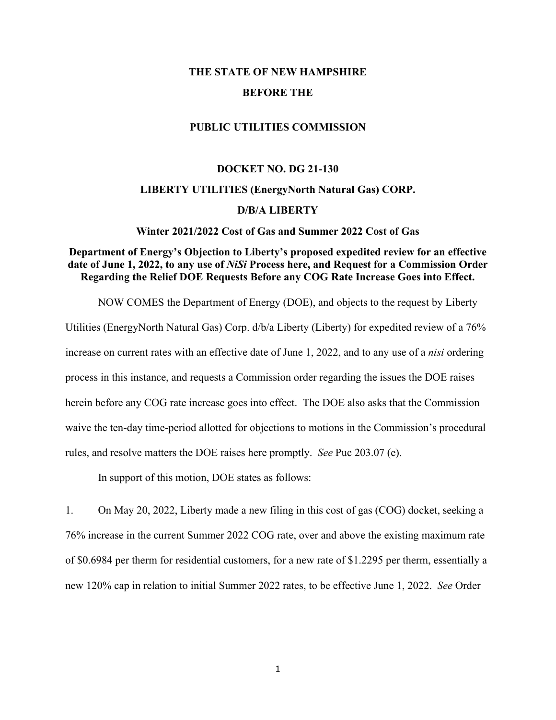# **THE STATE OF NEW HAMPSHIRE BEFORE THE**

#### **PUBLIC UTILITIES COMMISSION**

#### **DOCKET NO. DG 21-130**

#### **LIBERTY UTILITIES (EnergyNorth Natural Gas) CORP.**

### **D/B/A LIBERTY**

#### **Winter 2021/2022 Cost of Gas and Summer 2022 Cost of Gas**

### **Department of Energy's Objection to Liberty's proposed expedited review for an effective date of June 1, 2022, to any use of** *NiSi* **Process here, and Request for a Commission Order Regarding the Relief DOE Requests Before any COG Rate Increase Goes into Effect.**

NOW COMES the Department of Energy (DOE), and objects to the request by Liberty Utilities (EnergyNorth Natural Gas) Corp. d/b/a Liberty (Liberty) for expedited review of a 76% increase on current rates with an effective date of June 1, 2022, and to any use of a *nisi* ordering process in this instance, and requests a Commission order regarding the issues the DOE raises herein before any COG rate increase goes into effect. The DOE also asks that the Commission waive the ten-day time-period allotted for objections to motions in the Commission's procedural rules, and resolve matters the DOE raises here promptly. *See* Puc 203.07 (e).

In support of this motion, DOE states as follows:

1. On May 20, 2022, Liberty made a new filing in this cost of gas (COG) docket, seeking a 76% increase in the current Summer 2022 COG rate, over and above the existing maximum rate of \$0.6984 per therm for residential customers, for a new rate of \$1.2295 per therm, essentially a new 120% cap in relation to initial Summer 2022 rates, to be effective June 1, 2022. *See* Order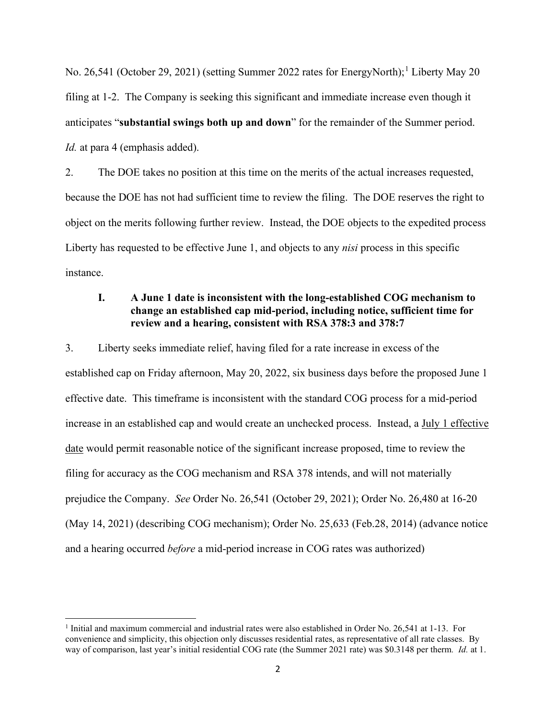No. 26,54[1](#page-1-0) (October 29, 2021) (setting Summer 2022 rates for EnergyNorth);<sup>1</sup> Liberty May 20 filing at 1-2. The Company is seeking this significant and immediate increase even though it anticipates "**substantial swings both up and down**" for the remainder of the Summer period. *Id.* at para 4 (emphasis added).

2. The DOE takes no position at this time on the merits of the actual increases requested, because the DOE has not had sufficient time to review the filing. The DOE reserves the right to object on the merits following further review. Instead, the DOE objects to the expedited process Liberty has requested to be effective June 1, and objects to any *nisi* process in this specific instance.

### **I. A June 1 date is inconsistent with the long-established COG mechanism to change an established cap mid-period, including notice, sufficient time for review and a hearing, consistent with RSA 378:3 and 378:7**

3. Liberty seeks immediate relief, having filed for a rate increase in excess of the established cap on Friday afternoon, May 20, 2022, six business days before the proposed June 1 effective date. This timeframe is inconsistent with the standard COG process for a mid-period increase in an established cap and would create an unchecked process. Instead, a July 1 effective date would permit reasonable notice of the significant increase proposed, time to review the filing for accuracy as the COG mechanism and RSA 378 intends, and will not materially prejudice the Company. *See* Order No. 26,541 (October 29, 2021); Order No. 26,480 at 16-20 (May 14, 2021) (describing COG mechanism); Order No. 25,633 (Feb.28, 2014) (advance notice and a hearing occurred *before* a mid-period increase in COG rates was authorized)

<span id="page-1-0"></span><sup>&</sup>lt;sup>1</sup> Initial and maximum commercial and industrial rates were also established in Order No. 26,541 at 1-13. For convenience and simplicity, this objection only discusses residential rates, as representative of all rate classes. By way of comparison, last year's initial residential COG rate (the Summer 2021 rate) was \$0.3148 per therm*. Id.* at 1.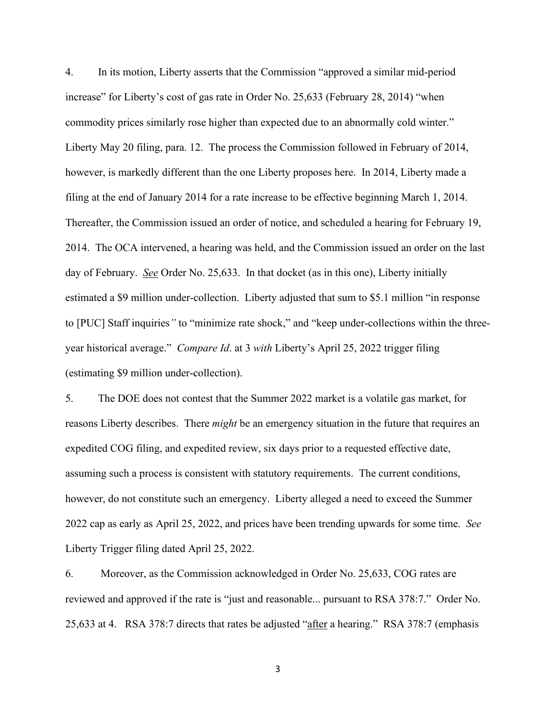4. In its motion, Liberty asserts that the Commission "approved a similar mid-period increase" for Liberty's cost of gas rate in Order No. 25,633 (February 28, 2014) "when commodity prices similarly rose higher than expected due to an abnormally cold winter." Liberty May 20 filing, para. 12. The process the Commission followed in February of 2014, however, is markedly different than the one Liberty proposes here. In 2014, Liberty made a filing at the end of January 2014 for a rate increase to be effective beginning March 1, 2014. Thereafter, the Commission issued an order of notice, and scheduled a hearing for February 19, 2014. The OCA intervened, a hearing was held, and the Commission issued an order on the last day of February. *See* Order No. 25,633. In that docket (as in this one), Liberty initially estimated a \$9 million under-collection. Liberty adjusted that sum to \$5.1 million "in response to [PUC] Staff inquiries*"* to "minimize rate shock," and "keep under-collections within the threeyear historical average." *Compare Id*. at 3 *with* Liberty's April 25, 2022 trigger filing (estimating \$9 million under-collection).

5. The DOE does not contest that the Summer 2022 market is a volatile gas market, for reasons Liberty describes. There *might* be an emergency situation in the future that requires an expedited COG filing, and expedited review, six days prior to a requested effective date, assuming such a process is consistent with statutory requirements. The current conditions, however, do not constitute such an emergency. Liberty alleged a need to exceed the Summer 2022 cap as early as April 25, 2022, and prices have been trending upwards for some time. *See* Liberty Trigger filing dated April 25, 2022.

6. Moreover, as the Commission acknowledged in Order No. 25,633, COG rates are reviewed and approved if the rate is "just and reasonable... pursuant to RSA 378:7." Order No. 25,633 at 4. RSA 378:7 directs that rates be adjusted "after a hearing." RSA 378:7 (emphasis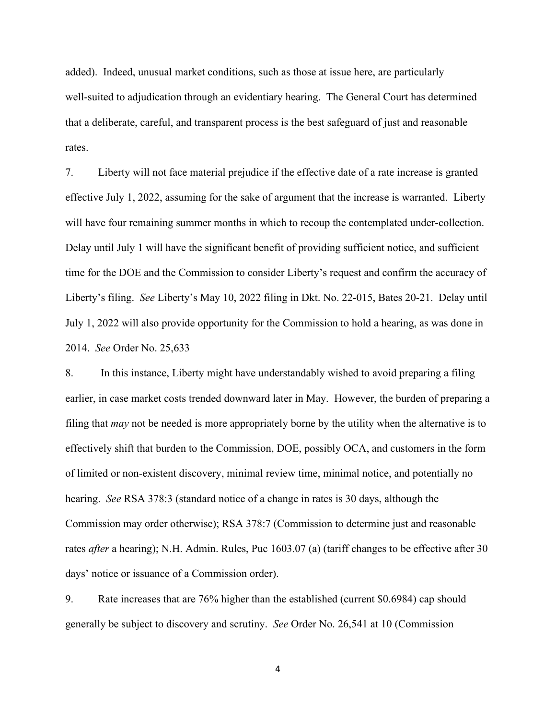added). Indeed, unusual market conditions, such as those at issue here, are particularly well-suited to adjudication through an evidentiary hearing. The General Court has determined that a deliberate, careful, and transparent process is the best safeguard of just and reasonable rates.

7. Liberty will not face material prejudice if the effective date of a rate increase is granted effective July 1, 2022, assuming for the sake of argument that the increase is warranted. Liberty will have four remaining summer months in which to recoup the contemplated under-collection. Delay until July 1 will have the significant benefit of providing sufficient notice, and sufficient time for the DOE and the Commission to consider Liberty's request and confirm the accuracy of Liberty's filing. *See* Liberty's May 10, 2022 filing in Dkt. No. 22-015, Bates 20-21. Delay until July 1, 2022 will also provide opportunity for the Commission to hold a hearing, as was done in 2014. *See* Order No. 25,633

8. In this instance, Liberty might have understandably wished to avoid preparing a filing earlier, in case market costs trended downward later in May. However, the burden of preparing a filing that *may* not be needed is more appropriately borne by the utility when the alternative is to effectively shift that burden to the Commission, DOE, possibly OCA, and customers in the form of limited or non-existent discovery, minimal review time, minimal notice, and potentially no hearing. *See* RSA 378:3 (standard notice of a change in rates is 30 days, although the Commission may order otherwise); RSA 378:7 (Commission to determine just and reasonable rates *after* a hearing); N.H. Admin. Rules, Puc 1603.07 (a) (tariff changes to be effective after 30 days' notice or issuance of a Commission order).

9. Rate increases that are 76% higher than the established (current \$0.6984) cap should generally be subject to discovery and scrutiny. *See* Order No. 26,541 at 10 (Commission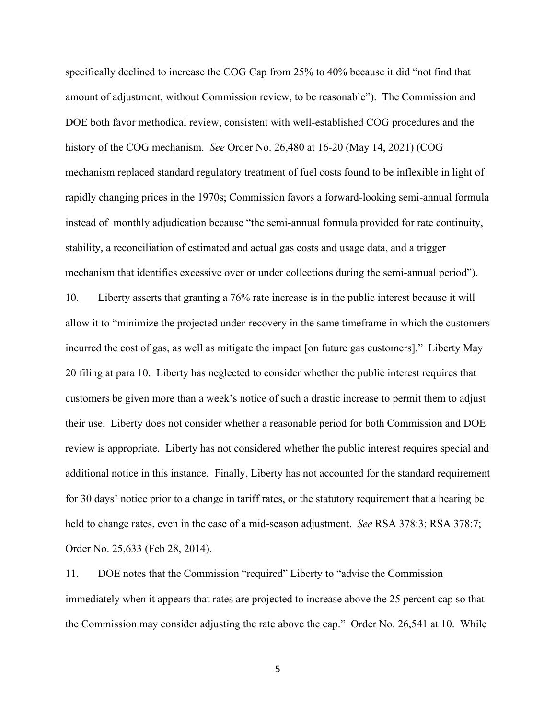specifically declined to increase the COG Cap from 25% to 40% because it did "not find that amount of adjustment, without Commission review, to be reasonable"). The Commission and DOE both favor methodical review, consistent with well-established COG procedures and the history of the COG mechanism. *See* Order No. 26,480 at 16-20 (May 14, 2021) (COG mechanism replaced standard regulatory treatment of fuel costs found to be inflexible in light of rapidly changing prices in the 1970s; Commission favors a forward-looking semi-annual formula instead of monthly adjudication because "the semi-annual formula provided for rate continuity, stability, a reconciliation of estimated and actual gas costs and usage data, and a trigger mechanism that identifies excessive over or under collections during the semi-annual period"). 10. Liberty asserts that granting a 76% rate increase is in the public interest because it will allow it to "minimize the projected under-recovery in the same timeframe in which the customers incurred the cost of gas, as well as mitigate the impact [on future gas customers]." Liberty May 20 filing at para 10. Liberty has neglected to consider whether the public interest requires that customers be given more than a week's notice of such a drastic increase to permit them to adjust their use. Liberty does not consider whether a reasonable period for both Commission and DOE review is appropriate. Liberty has not considered whether the public interest requires special and additional notice in this instance. Finally, Liberty has not accounted for the standard requirement for 30 days' notice prior to a change in tariff rates, or the statutory requirement that a hearing be held to change rates, even in the case of a mid-season adjustment. *See* RSA 378:3; RSA 378:7;

Order No. 25,633 (Feb 28, 2014).

11. DOE notes that the Commission "required" Liberty to "advise the Commission immediately when it appears that rates are projected to increase above the 25 percent cap so that the Commission may consider adjusting the rate above the cap." Order No. 26,541 at 10. While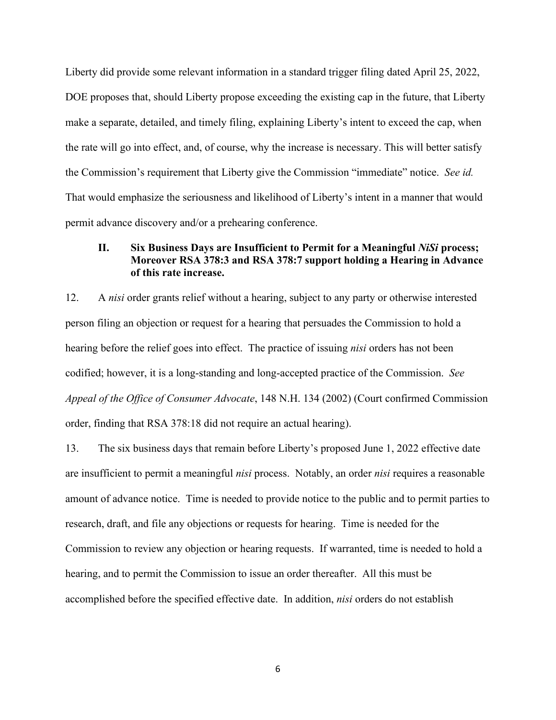Liberty did provide some relevant information in a standard trigger filing dated April 25, 2022, DOE proposes that, should Liberty propose exceeding the existing cap in the future, that Liberty make a separate, detailed, and timely filing, explaining Liberty's intent to exceed the cap, when the rate will go into effect, and, of course, why the increase is necessary. This will better satisfy the Commission's requirement that Liberty give the Commission "immediate" notice. *See id.* That would emphasize the seriousness and likelihood of Liberty's intent in a manner that would permit advance discovery and/or a prehearing conference.

### **II. Six Business Days are Insufficient to Permit for a Meaningful** *NiSi* **process; Moreover RSA 378:3 and RSA 378:7 support holding a Hearing in Advance of this rate increase.**

12. A *nisi* order grants relief without a hearing, subject to any party or otherwise interested person filing an objection or request for a hearing that persuades the Commission to hold a hearing before the relief goes into effect. The practice of issuing *nisi* orders has not been codified; however, it is a long-standing and long-accepted practice of the Commission. *See Appeal of the Office of Consumer Advocate*, 148 N.H. 134 (2002) (Court confirmed Commission order, finding that RSA 378:18 did not require an actual hearing).

13. The six business days that remain before Liberty's proposed June 1, 2022 effective date are insufficient to permit a meaningful *nisi* process. Notably, an order *nisi* requires a reasonable amount of advance notice. Time is needed to provide notice to the public and to permit parties to research, draft, and file any objections or requests for hearing. Time is needed for the Commission to review any objection or hearing requests. If warranted, time is needed to hold a hearing, and to permit the Commission to issue an order thereafter. All this must be accomplished before the specified effective date. In addition, *nisi* orders do not establish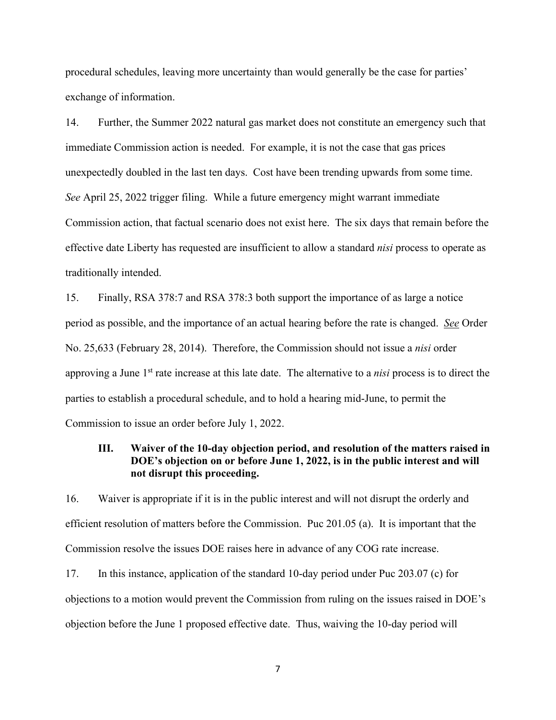procedural schedules, leaving more uncertainty than would generally be the case for parties' exchange of information.

14. Further, the Summer 2022 natural gas market does not constitute an emergency such that immediate Commission action is needed. For example, it is not the case that gas prices unexpectedly doubled in the last ten days. Cost have been trending upwards from some time. *See* April 25, 2022 trigger filing. While a future emergency might warrant immediate Commission action, that factual scenario does not exist here. The six days that remain before the effective date Liberty has requested are insufficient to allow a standard *nisi* process to operate as traditionally intended.

15. Finally, RSA 378:7 and RSA 378:3 both support the importance of as large a notice period as possible, and the importance of an actual hearing before the rate is changed. *See* Order No. 25,633 (February 28, 2014). Therefore, the Commission should not issue a *nisi* order approving a June 1st rate increase at this late date. The alternative to a *nisi* process is to direct the parties to establish a procedural schedule, and to hold a hearing mid-June, to permit the Commission to issue an order before July 1, 2022.

### **III. Waiver of the 10-day objection period, and resolution of the matters raised in DOE's objection on or before June 1, 2022, is in the public interest and will not disrupt this proceeding.**

16. Waiver is appropriate if it is in the public interest and will not disrupt the orderly and efficient resolution of matters before the Commission. Puc 201.05 (a). It is important that the Commission resolve the issues DOE raises here in advance of any COG rate increase.

17. In this instance, application of the standard 10-day period under Puc 203.07 (c) for objections to a motion would prevent the Commission from ruling on the issues raised in DOE's objection before the June 1 proposed effective date. Thus, waiving the 10-day period will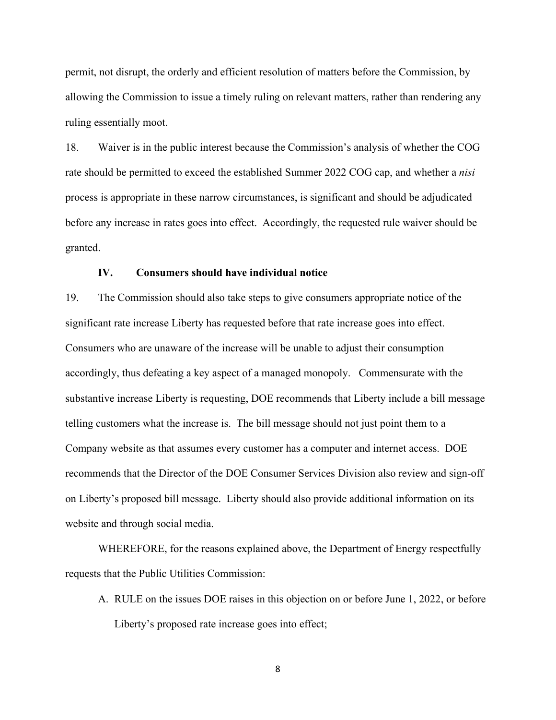permit, not disrupt, the orderly and efficient resolution of matters before the Commission, by allowing the Commission to issue a timely ruling on relevant matters, rather than rendering any ruling essentially moot.

18. Waiver is in the public interest because the Commission's analysis of whether the COG rate should be permitted to exceed the established Summer 2022 COG cap, and whether a *nisi* process is appropriate in these narrow circumstances, is significant and should be adjudicated before any increase in rates goes into effect. Accordingly, the requested rule waiver should be granted.

#### **IV. Consumers should have individual notice**

19. The Commission should also take steps to give consumers appropriate notice of the significant rate increase Liberty has requested before that rate increase goes into effect. Consumers who are unaware of the increase will be unable to adjust their consumption accordingly, thus defeating a key aspect of a managed monopoly. Commensurate with the substantive increase Liberty is requesting, DOE recommends that Liberty include a bill message telling customers what the increase is. The bill message should not just point them to a Company website as that assumes every customer has a computer and internet access. DOE recommends that the Director of the DOE Consumer Services Division also review and sign-off on Liberty's proposed bill message. Liberty should also provide additional information on its website and through social media.

WHEREFORE, for the reasons explained above, the Department of Energy respectfully requests that the Public Utilities Commission:

A. RULE on the issues DOE raises in this objection on or before June 1, 2022, or before Liberty's proposed rate increase goes into effect;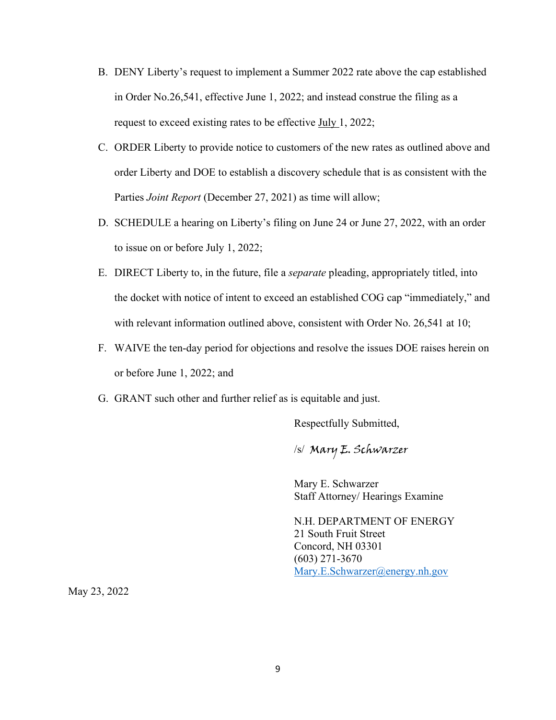- B. DENY Liberty's request to implement a Summer 2022 rate above the cap established in Order No.26,541, effective June 1, 2022; and instead construe the filing as a request to exceed existing rates to be effective July 1, 2022;
- C. ORDER Liberty to provide notice to customers of the new rates as outlined above and order Liberty and DOE to establish a discovery schedule that is as consistent with the Parties *Joint Report* (December 27, 2021) as time will allow;
- D. SCHEDULE a hearing on Liberty's filing on June 24 or June 27, 2022, with an order to issue on or before July 1, 2022;
- E. DIRECT Liberty to, in the future, file a *separate* pleading, appropriately titled, into the docket with notice of intent to exceed an established COG cap "immediately," and with relevant information outlined above, consistent with Order No. 26,541 at 10;
- F. WAIVE the ten-day period for objections and resolve the issues DOE raises herein on or before June 1, 2022; and
- G. GRANT such other and further relief as is equitable and just.

Respectfully Submitted,

/s/ Mary E. Schwarzer

Mary E. Schwarzer Staff Attorney/ Hearings Examine

N.H. DEPARTMENT OF ENERGY 21 South Fruit Street Concord, NH 03301 (603) 271-3670 [Mary.E.Schwarzer@energy.nh.gov](mailto:Mary.E.Schwarzer@energy.nh.gov)

May 23, 2022